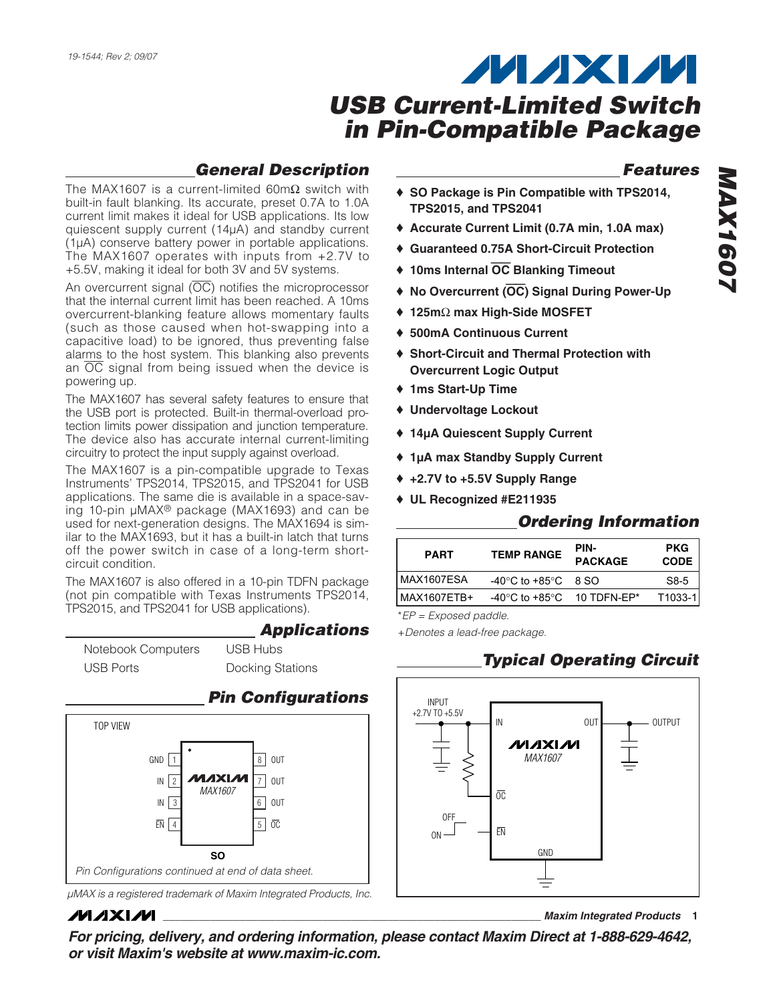### *General Description*

The MAX1607 is a current-limited  $60 \text{m}\Omega$  switch with built-in fault blanking. Its accurate, preset 0.7A to 1.0A current limit makes it ideal for USB applications. Its low quiescent supply current (14µA) and standby current (1µA) conserve battery power in portable applications. The MAX1607 operates with inputs from +2.7V to +5.5V, making it ideal for both 3V and 5V systems.

An overcurrent signal  $(\overline{OC})$  notifies the microprocessor that the internal current limit has been reached. A 10ms overcurrent-blanking feature allows momentary faults (such as those caused when hot-swapping into a capacitive load) to be ignored, thus preventing false alarms to the host system. This blanking also prevents an  $\overline{OC}$  signal from being issued when the device is powering up.

The MAX1607 has several safety features to ensure that the USB port is protected. Built-in thermal-overload protection limits power dissipation and junction temperature. The device also has accurate internal current-limiting circuitry to protect the input supply against overload.

The MAX1607 is a pin-compatible upgrade to Texas Instruments' TPS2014, TPS2015, and TPS2041 for USB applications. The same die is available in a space-saving 10-pin µMAX® package (MAX1693) and can be used for next-generation designs. The MAX1694 is similar to the MAX1693, but it has a built-in latch that turns off the power switch in case of a long-term shortcircuit condition.

The MAX1607 is also offered in a 10-pin TDFN package (not pin compatible with Texas Instruments TPS2014, TPS2015, and TPS2041 for USB applications).

*Applications*

Notebook Computers USB Ports USB Hubs Docking Stations



*µMAX is a registered trademark of Maxim Integrated Products, Inc.*

### **MAXM**

*Features*

- ♦ **SO Package is Pin Compatible with TPS2014, TPS2015, and TPS2041**
- ♦ **Accurate Current Limit (0.7A min, 1.0A max)**
- ♦ **Guaranteed 0.75A Short-Circuit Protection**
- ♦ **10ms Internal** OC **Blanking Timeout**
- ♦ **No Overcurrent (**OC**) Signal During Power-Up**
- ♦ **125m**Ω **max High-Side MOSFET**
- ♦ **500mA Continuous Current**
- ♦ **Short-Circuit and Thermal Protection with Overcurrent Logic Output**
- ♦ **1ms Start-Up Time**
- ♦ **Undervoltage Lockout**
- ♦ **14µA Quiescent Supply Current**
- ♦ **1µA max Standby Supply Current**
- ♦ **+2.7V to +5.5V Supply Range**
- ♦ **UL Recognized #E211935**

## *Ordering Information*

| <b>PART</b> | <b>TEMP RANGE</b>                              | PIN-<br><b>PACKAGE</b> | <b>PKG</b><br><b>CODE</b> |
|-------------|------------------------------------------------|------------------------|---------------------------|
| MAX1607ESA  | $-40^{\circ}$ C to $+85^{\circ}$ C 8 SO        |                        | S8-5                      |
| MAX1607ETB+ | $-40^{\circ}$ C to $+85^{\circ}$ C 10 TDFN-EP* |                        | $T1033-1$                 |

\**EP = Exposed paddle.*

+*Denotes a lead-free package.*

## *Typical Operating Circuit*



**\_\_\_\_\_\_\_\_\_\_\_\_\_\_\_\_\_\_\_\_\_\_\_\_\_\_\_\_\_\_\_\_\_\_\_\_\_\_\_\_\_\_\_\_\_\_\_\_\_\_\_\_\_\_\_\_\_\_\_\_\_\_\_\_** *Maxim Integrated Products* **1**

*For pricing, delivery, and ordering information, please contact Maxim Direct at 1-888-629-4642, or visit Maxim's website at www.maxim-ic.com.*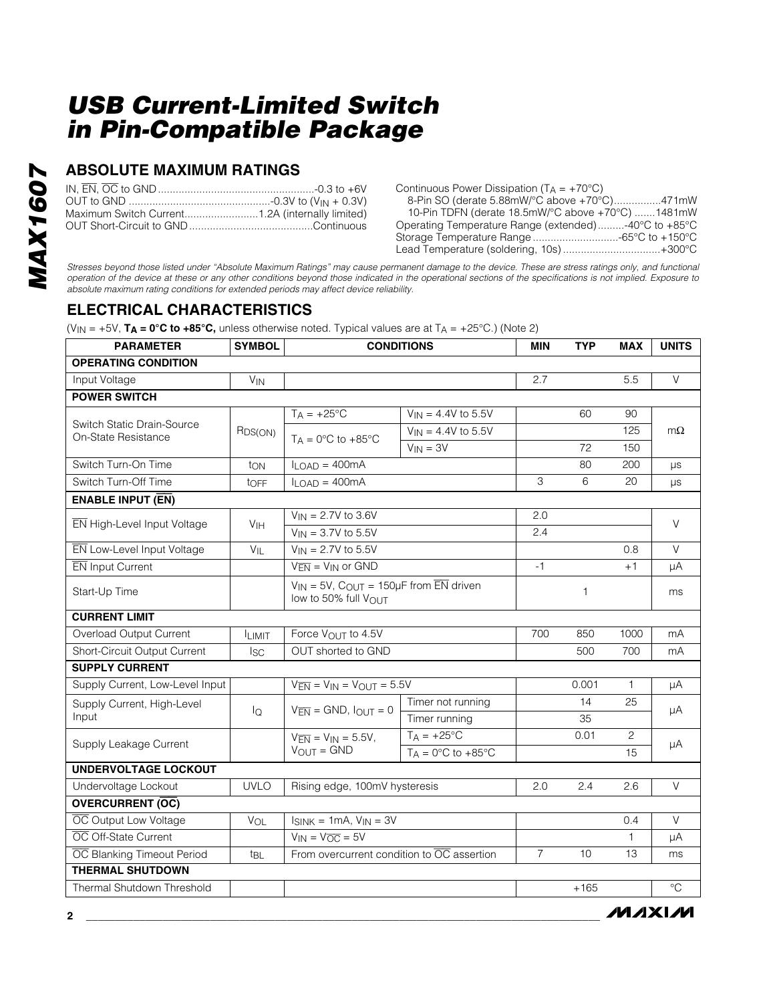### **ABSOLUTE MAXIMUM RATINGS**

Continuous Power Dissipation ( $TA = +70^{\circ}C$ )

8-Pin SO (derate 5.88mW/°C above +70°C)................471mW 10-Pin TDFN (derate 18.5mW/°C above +70°C) .......1481mW Operating Temperature Range (extended).........-40°C to +85°C Storage Temperature Range .............................-65°C to +150°C Lead Temperature (soldering, 10s) .................................+300°C

*Stresses beyond those listed under "Absolute Maximum Ratings" may cause permanent damage to the device. These are stress ratings only, and functional operation of the device at these or any other conditions beyond those indicated in the operational sections of the specifications is not implied. Exposure to absolute maximum rating conditions for extended periods may affect device reliability.*

## **ELECTRICAL CHARACTERISTICS**

(VIN = +5V, **TA = 0°C to +85°C,** unless otherwise noted. Typical values are at TA = +25°C.) (Note 2)

| <b>PARAMETER</b>                                  | <b>SYMBOL</b>         |                                                                                             | <b>CONDITIONS</b>                                | <b>MIN</b>     | <b>TYP</b> | <b>MAX</b>   | <b>UNITS</b> |  |
|---------------------------------------------------|-----------------------|---------------------------------------------------------------------------------------------|--------------------------------------------------|----------------|------------|--------------|--------------|--|
| <b>OPERATING CONDITION</b>                        |                       |                                                                                             |                                                  |                |            |              |              |  |
| Input Voltage                                     | <b>V<sub>IN</sub></b> |                                                                                             |                                                  | 2.7            |            | 5.5          | $\vee$       |  |
| <b>POWER SWITCH</b>                               |                       |                                                                                             |                                                  |                |            |              |              |  |
|                                                   |                       | $T_A = +25^{\circ}C$                                                                        | $V_{IN} = 4.4V$ to 5.5V                          |                | 60         | 90           |              |  |
| Switch Static Drain-Source<br>On-State Resistance | R <sub>DS(ON)</sub>   | $T_A = 0$ °C to +85°C                                                                       | $V_{IN} = 4.4V$ to 5.5V                          |                |            | 125          | $m\Omega$    |  |
|                                                   |                       |                                                                                             | $V_{IN} = 3V$                                    |                | 72         | 150          |              |  |
| Switch Turn-On Time                               | ton                   | $I_{LOAD} = 400mA$                                                                          |                                                  |                | 80         | 200          | μs           |  |
| Switch Turn-Off Time                              | toff                  | $I_{LOAD} = 400mA$                                                                          |                                                  | 3              | 6          | 20           | μs           |  |
| <b>ENABLE INPUT (EN)</b>                          |                       |                                                                                             |                                                  |                |            |              |              |  |
| EN High-Level Input Voltage                       | V <sub>IH</sub>       | $V_{IN} = 2.7V$ to 3.6V                                                                     |                                                  | 2.0            |            |              | $\vee$       |  |
|                                                   |                       | $V_{IN} = 3.7V$ to 5.5V                                                                     |                                                  | 2.4            |            |              |              |  |
| EN Low-Level Input Voltage                        | $V_{IL}$              | $V_{IN} = 2.7V$ to 5.5V                                                                     |                                                  |                |            | 0.8          | $\vee$       |  |
| <b>EN</b> Input Current                           |                       | $V_{\overline{FN}} = V_{IN}$ or GND                                                         |                                                  | $-1$           |            | $+1$         | μA           |  |
| Start-Up Time                                     |                       | $V_{IN}$ = 5V, C <sub>OUT</sub> = 150µF from $\overline{EN}$ driven<br>low to 50% full VOUT |                                                  |                | 1          |              | ms           |  |
| <b>CURRENT LIMIT</b>                              |                       |                                                                                             |                                                  |                |            |              |              |  |
| Overload Output Current                           | <b>ILIMIT</b>         | Force VOUT to 4.5V                                                                          |                                                  | 700            | 850        | 1000         | mA           |  |
| Short-Circuit Output Current                      | <b>I<sub>SC</sub></b> | OUT shorted to GND                                                                          |                                                  |                | 500        | 700          | mA           |  |
| <b>SUPPLY CURRENT</b>                             |                       |                                                                                             |                                                  |                |            |              |              |  |
| Supply Current, Low-Level Input                   |                       | $V_{\overline{EN}} = V_{IN} = V_{OUT} = 5.5V$                                               |                                                  |                | 0.001      | $\mathbf{1}$ | μA           |  |
| Supply Current, High-Level                        | lQ                    | $V_{\overline{EN}} =$ GND, $I_{OUT} = 0$                                                    | Timer not running                                |                | 14         | 25           | μA           |  |
| Input                                             |                       |                                                                                             | Timer running                                    |                | 35         |              |              |  |
| Supply Leakage Current                            |                       | $V_{\overline{EN}} = V_{IN} = 5.5V$ ,                                                       | $TA = +25^{\circ}C$                              |                | 0.01       | 2            | μA           |  |
|                                                   |                       | $V_{OUIT} = GND$                                                                            | $T_A = 0^\circ \text{C}$ to $+85^\circ \text{C}$ |                |            | 15           |              |  |
| <b>UNDERVOLTAGE LOCKOUT</b>                       |                       |                                                                                             |                                                  |                |            |              |              |  |
| Undervoltage Lockout                              | <b>UVLO</b>           | Rising edge, 100mV hysteresis                                                               |                                                  | 2.0            | 2.4        | 2.6          | $\vee$       |  |
| <b>OVERCURRENT (OC)</b>                           |                       |                                                                                             |                                                  |                |            |              |              |  |
| OC Output Low Voltage                             | VOL                   | $I_{SINK} = 1mA$ , $V_{IN} = 3V$                                                            |                                                  |                |            | 0.4          | $\vee$       |  |
| OC Off-State Current                              |                       | $V_{IN} = V_{\overline{OC}} = 5V$                                                           |                                                  |                |            | 1            | μA           |  |
| <b>OC</b> Blanking Timeout Period                 | t <sub>BL</sub>       | From overcurrent condition to $\overline{OC}$ assertion                                     |                                                  | $\overline{7}$ | 10         | 13           | ms           |  |
| <b>THERMAL SHUTDOWN</b>                           |                       |                                                                                             |                                                  |                |            |              |              |  |
| Thermal Shutdown Threshold                        |                       |                                                                                             |                                                  |                | $+165$     |              | $^{\circ}C$  |  |

**MAXM**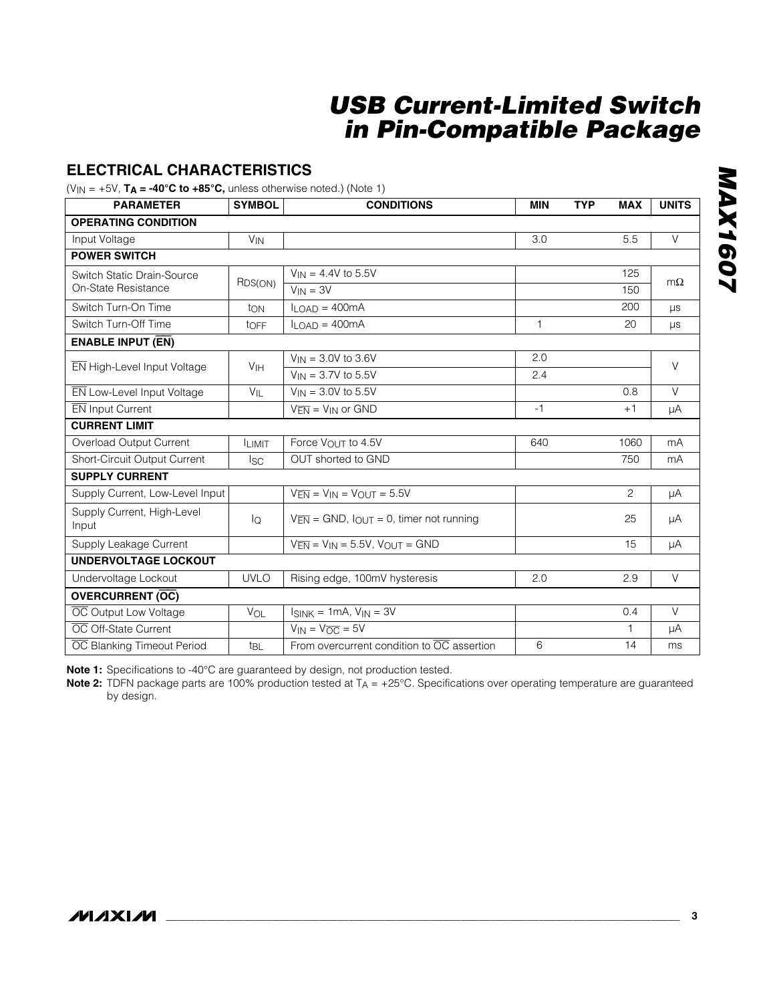### **ELECTRICAL CHARACTERISTICS**

 $(V_{IN} = +5V$ ,  $T_A = -40^{\circ}C$  to  $+85^{\circ}C$ , unless otherwise noted.) (Note 1)

| <b>PARAMETER</b>                    | <b>SYMBOL</b>         | <b>CONDITIONS</b>                                                   | <b>MIN</b> | <b>TYP</b> | <b>MAX</b>     | <b>UNITS</b> |
|-------------------------------------|-----------------------|---------------------------------------------------------------------|------------|------------|----------------|--------------|
| <b>OPERATING CONDITION</b>          |                       |                                                                     |            |            |                |              |
| Input Voltage                       | <b>V<sub>IN</sub></b> |                                                                     | 3.0        |            | 5.5            | $\vee$       |
| <b>POWER SWITCH</b>                 |                       |                                                                     |            |            |                |              |
| Switch Static Drain-Source          |                       | $V_{IN} = 4.4V$ to 5.5V                                             |            |            | 125            | $m\Omega$    |
| On-State Resistance                 | R <sub>DS(ON)</sub>   | $V_{IN} = 3V$                                                       |            |            | 150            |              |
| Switch Turn-On Time                 | ton                   | $II$ $\cap$ AD = 400mA                                              |            |            | 200            | $\mu s$      |
| Switch Turn-Off Time                | $t$ OFF               | $I_{\text{LOAD}} = 400 \text{mA}$                                   | 1          |            | 20             | $\mu s$      |
| <b>ENABLE INPUT (EN)</b>            |                       |                                                                     |            |            |                |              |
| EN High-Level Input Voltage         | V <sub>IH</sub>       | $V_{IN} = 3.0V$ to 3.6V                                             | 2.0        |            |                | $\vee$       |
|                                     |                       | $V_{IN} = 3.7V$ to 5.5V                                             | 2.4        |            |                |              |
| EN Low-Level Input Voltage          | $V_{IL}$              | $V_{IN} = 3.0V$ to 5.5V                                             |            |            | 0.8            | $\vee$       |
| EN Input Current                    |                       | $V_{\overline{FN}} = V_{IN}$ or GND                                 | $-1$       |            | $+1$           | μA           |
| <b>CURRENT LIMIT</b>                |                       |                                                                     |            |            |                |              |
| Overload Output Current             | <b>ILIMIT</b>         | Force VOUT to 4.5V                                                  | 640        |            | 1060           | mA           |
| Short-Circuit Output Current        | I <sub>SC</sub>       | OUT shorted to GND                                                  |            |            | 750            | mA           |
| <b>SUPPLY CURRENT</b>               |                       |                                                                     |            |            |                |              |
| Supply Current, Low-Level Input     |                       | $V_{\overline{EN}} = V_{\text{IN}} = V_{\text{OUT}} = 5.5V$         |            |            | $\overline{c}$ | μA           |
| Supply Current, High-Level<br>Input | $I_{\mathsf{Q}}$      | $V_{\overline{FN}} =$ GND, $I_{\text{OUT}} = 0$ , timer not running |            |            | 25             | μA           |
| Supply Leakage Current              |                       | $V_{\overline{EN}} = V_{IN} = 5.5V$ , $V_{OUT} = GND$               |            |            | 15             | μA           |
| <b>UNDERVOLTAGE LOCKOUT</b>         |                       |                                                                     |            |            |                |              |
| Undervoltage Lockout                | <b>UVLO</b>           | Rising edge, 100mV hysteresis                                       | 2.0        |            | 2.9            | $\vee$       |
| <b>OVERCURRENT (OC)</b>             |                       |                                                                     |            |            |                |              |
| OC Output Low Voltage               | VOL                   | $I_{SINK} = 1mA$ , $V_{IN} = 3V$                                    |            |            | 0.4            | $\vee$       |
| OC Off-State Current                |                       | $V_{IN} = V_{\overline{OC}} = 5V$                                   |            |            | 1              | μA           |
| OC Blanking Timeout Period          | t <sub>BL</sub>       | From overcurrent condition to $\overline{OC}$ assertion             | 6          |            | 14             | ms           |

**MAX1607** *MAX1607*

**Note 1:** Specifications to -40°C are guaranteed by design, not production tested.

**Note 2:** TDFN package parts are 100% production tested at T<sub>A</sub> = +25°C. Specifications over operating temperature are guaranteed by design.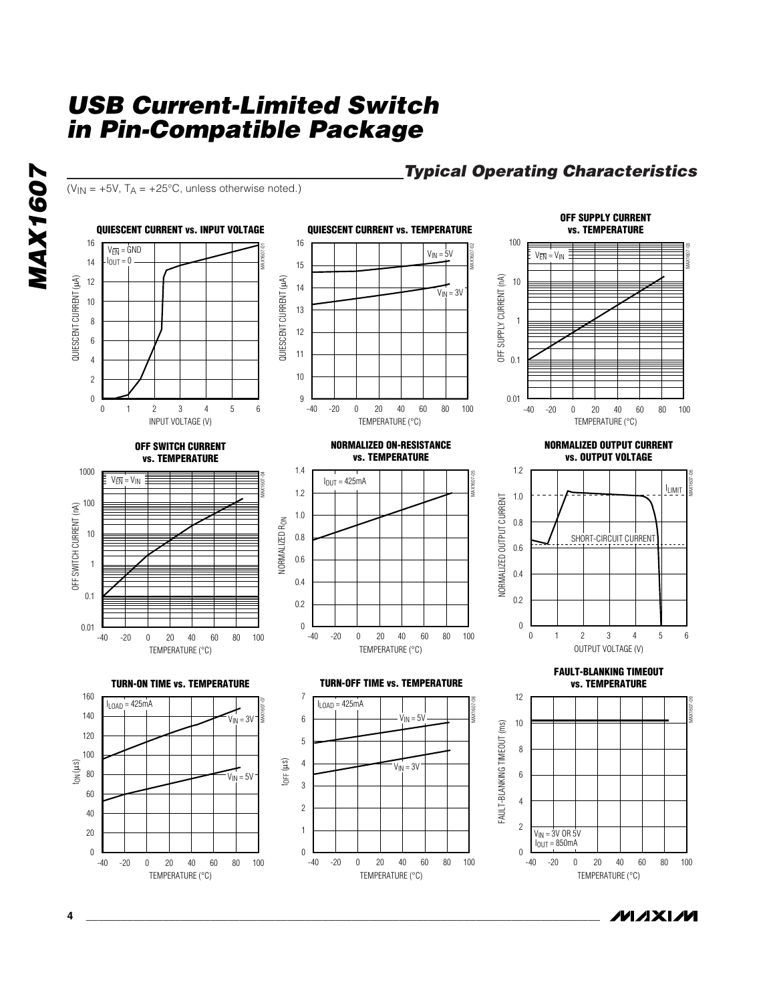( $V_{IN}$  = +5V, T<sub>A</sub> = +25°C, unless otherwise noted.)

### *Typical Operating Characteristics*

*IVI AXI IVI* 



**4 \_\_\_\_\_\_\_\_\_\_\_\_\_\_\_\_\_\_\_\_\_\_\_\_\_\_\_\_\_\_\_\_\_\_\_\_\_\_\_\_\_\_\_\_\_\_\_\_\_\_\_\_\_\_\_\_\_\_\_\_\_\_\_\_\_\_\_\_\_\_\_\_\_\_\_\_\_\_\_\_\_\_\_\_\_\_\_**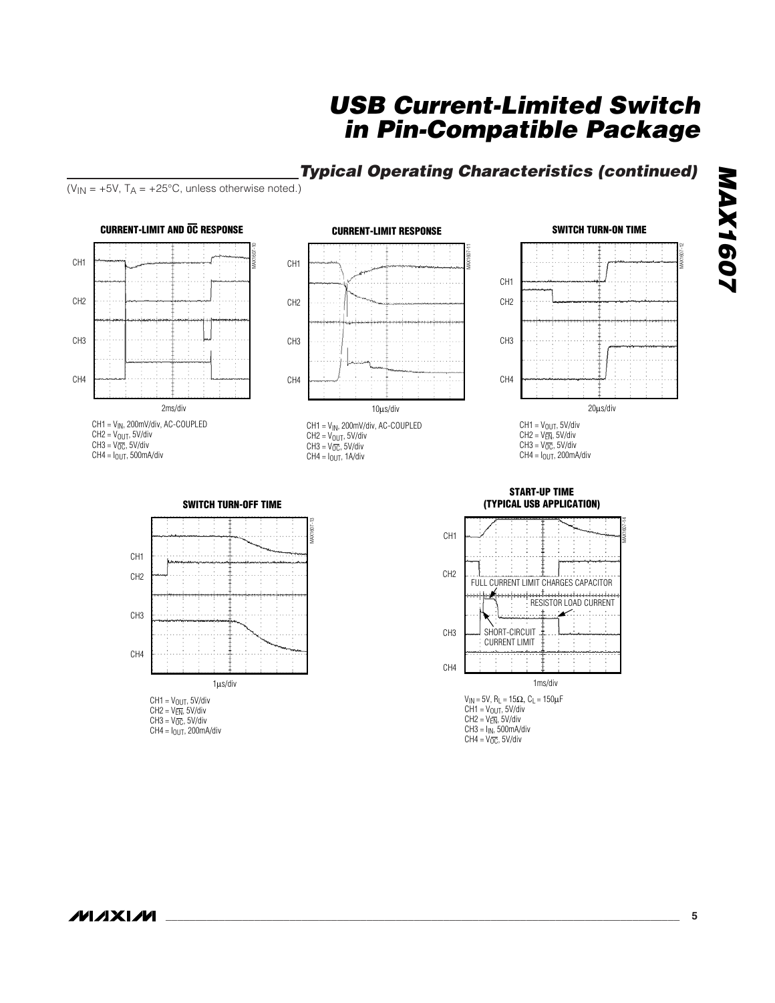## *Typical Operating Characteristics (continued)*

( $V_{IN}$  = +5V, T<sub>A</sub> = +25°C, unless otherwise noted.)



 $CH4 = I<sub>OUT</sub>, 200mA/div$ 

 $CH3 = I_{IN}$ , 500mA/div  $CH4 = V_{\overline{OC}}$ , 5V/div

*MAX1607*

**MAX1607**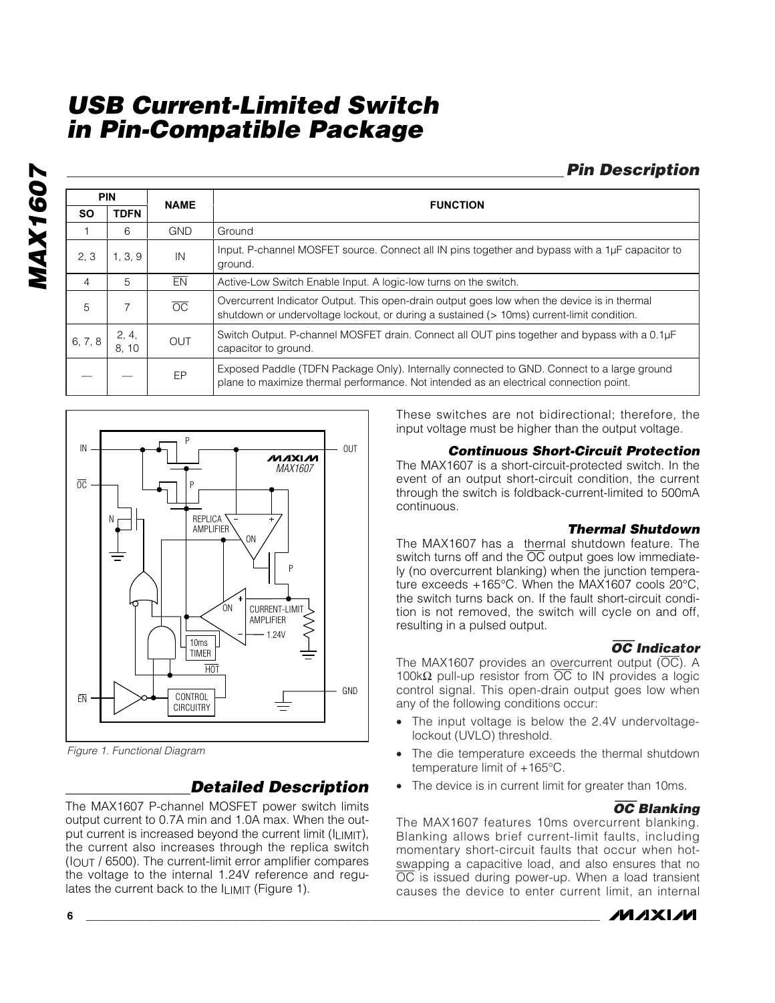## *Pin Description*

|                | <b>PIN</b>    | <b>NAME</b>     | <b>FUNCTION</b>                                                                                                                                                                          |
|----------------|---------------|-----------------|------------------------------------------------------------------------------------------------------------------------------------------------------------------------------------------|
| <b>SO</b>      | <b>TDFN</b>   |                 |                                                                                                                                                                                          |
|                | 6             | <b>GND</b>      | Ground                                                                                                                                                                                   |
| 2.3            | 1, 3, 9       | IN              | Input. P-channel MOSFET source. Connect all IN pins together and bypass with a 1µF capacitor to<br>ground.                                                                               |
| $\overline{4}$ | 5             | EN              | Active-Low Switch Enable Input. A logic-low turns on the switch.                                                                                                                         |
| 5              |               | $\overline{OC}$ | Overcurrent Indicator Output. This open-drain output goes low when the device is in thermal<br>shutdown or undervoltage lockout, or during a sustained (> 10ms) current-limit condition. |
| 6, 7, 8        | 2, 4,<br>8.10 | OUT             | Switch Output. P-channel MOSFET drain. Connect all OUT pins together and bypass with a 0.1µF<br>capacitor to ground.                                                                     |
|                |               | EP              | Exposed Paddle (TDFN Package Only). Internally connected to GND. Connect to a large ground<br>plane to maximize thermal performance. Not intended as an electrical connection point.     |



*Figure 1. Functional Diagram*

### *Detailed Description*

The MAX1607 P-channel MOSFET power switch limits output current to 0.7A min and 1.0A max. When the output current is increased beyond the current limit (ILIMIT), the current also increases through the replica switch  $(I<sub>OUT</sub> / 6500)$ . The current-limit error amplifier compares the voltage to the internal 1.24V reference and regulates the current back to the  $I_{LIMIT}$  (Figure 1).

These switches are not bidirectional; therefore, the input voltage must be higher than the output voltage.

#### *Continuous Short-Circuit Protection*

The MAX1607 is a short-circuit-protected switch. In the event of an output short-circuit condition, the current through the switch is foldback-current-limited to 500mA continuous.

#### *Thermal Shutdown*

The MAX1607 has a thermal shutdown feature. The switch turns off and the  $\overline{OC}$  output goes low immediately (no overcurrent blanking) when the junction temperature exceeds +165°C. When the MAX1607 cools 20°C, the switch turns back on. If the fault short-circuit condition is not removed, the switch will cycle on and off, resulting in a pulsed output.

### OC *Indicator*

The MAX1607 provides an overcurrent output  $(\overline{OC})$ . A 100kΩ pull-up resistor from  $\overline{OC}$  to IN provides a logic control signal. This open-drain output goes low when any of the following conditions occur:

- The input voltage is below the 2.4V undervoltagelockout (UVLO) threshold.
- The die temperature exceeds the thermal shutdown temperature limit of +165°C.
- The device is in current limit for greater than 10ms.

#### OC *Blanking*

The MAX1607 features 10ms overcurrent blanking. Blanking allows brief current-limit faults, including momentary short-circuit faults that occur when hotswapping a capacitive load, and also ensures that no OC is issued during power-up. When a load transient causes the device to enter current limit, an internal

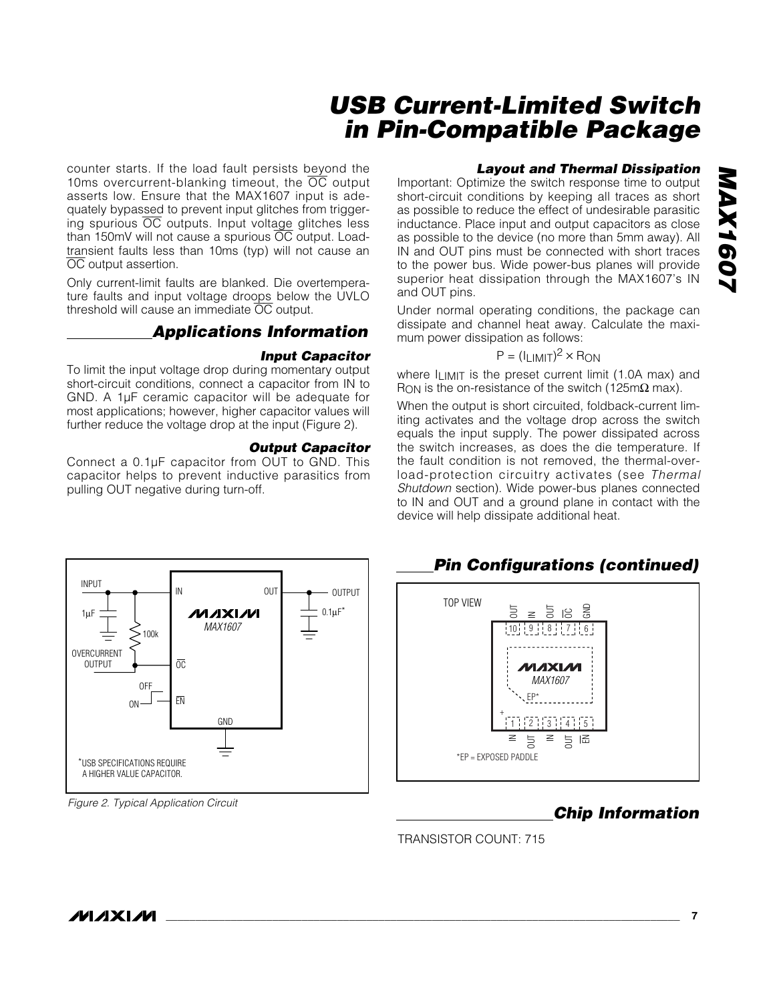counter starts. If the load fault persists beyond the 10ms overcurrent-blanking timeout, the  $\overline{OC}$  output asserts low. Ensure that the MAX1607 input is adequately bypassed to prevent input glitches from triggering spurious OC outputs. Input voltage glitches less than 150mV will not cause a spurious OC output. Loadtransient faults less than 10ms (typ) will not cause an OC output assertion.

Only current-limit faults are blanked. Die overtemperature faults and input voltage droops below the UVLO threshold will cause an immediate  $\overline{OC}$  output.

### *Applications Information*

#### *Input Capacitor*

To limit the input voltage drop during momentary output short-circuit conditions, connect a capacitor from IN to GND. A 1µF ceramic capacitor will be adequate for most applications; however, higher capacitor values will further reduce the voltage drop at the input (Figure 2).

#### *Output Capacitor*

Connect a 0.1µF capacitor from OUT to GND. This capacitor helps to prevent inductive parasitics from pulling OUT negative during turn-off.

#### *Layout and Thermal Dissipation*

Important: Optimize the switch response time to output short-circuit conditions by keeping all traces as short as possible to reduce the effect of undesirable parasitic inductance. Place input and output capacitors as close as possible to the device (no more than 5mm away). All IN and OUT pins must be connected with short traces to the power bus. Wide power-bus planes will provide superior heat dissipation through the MAX1607's IN and OUT pins.

Under normal operating conditions, the package can dissipate and channel heat away. Calculate the maximum power dissipation as follows:

#### $P = (I_{LIMIT})^2 \times R_{ON}$

where ILIMIT is the preset current limit (1.0A max) and R<sub>ON</sub> is the on-resistance of the switch (125m $\Omega$  max).

When the output is short circuited, foldback-current limiting activates and the voltage drop across the switch equals the input supply. The power dissipated across the switch increases, as does the die temperature. If the fault condition is not removed, the thermal-overload-protection circuitry activates (see *Thermal Shutdown* section). Wide power-bus planes connected to IN and OUT and a ground plane in contact with the device will help dissipate additional heat.



*Figure 2. Typical Application Circuit*

## *Pin Configurations (continued)*



## *Chip Information*

TRANSISTOR COUNT: 715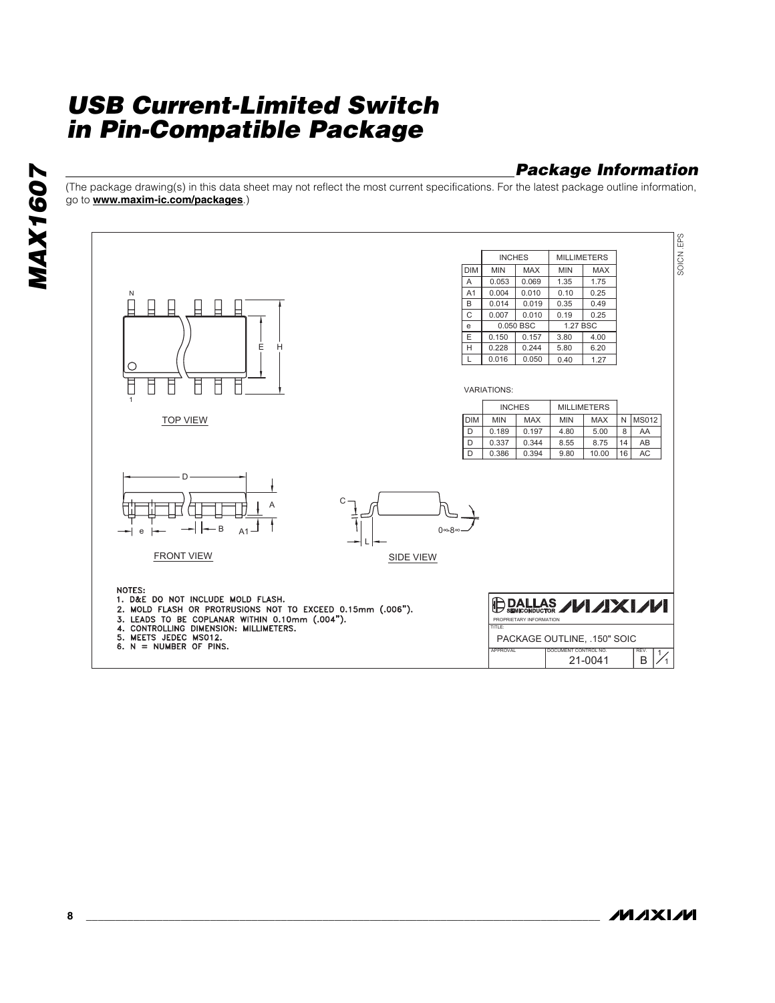## *Package Information*

(The package drawing(s) in this data sheet may not reflect the most current specifications. For the latest package outline information, go to **www.maxim-ic.com/packages**.)



**MAXIM**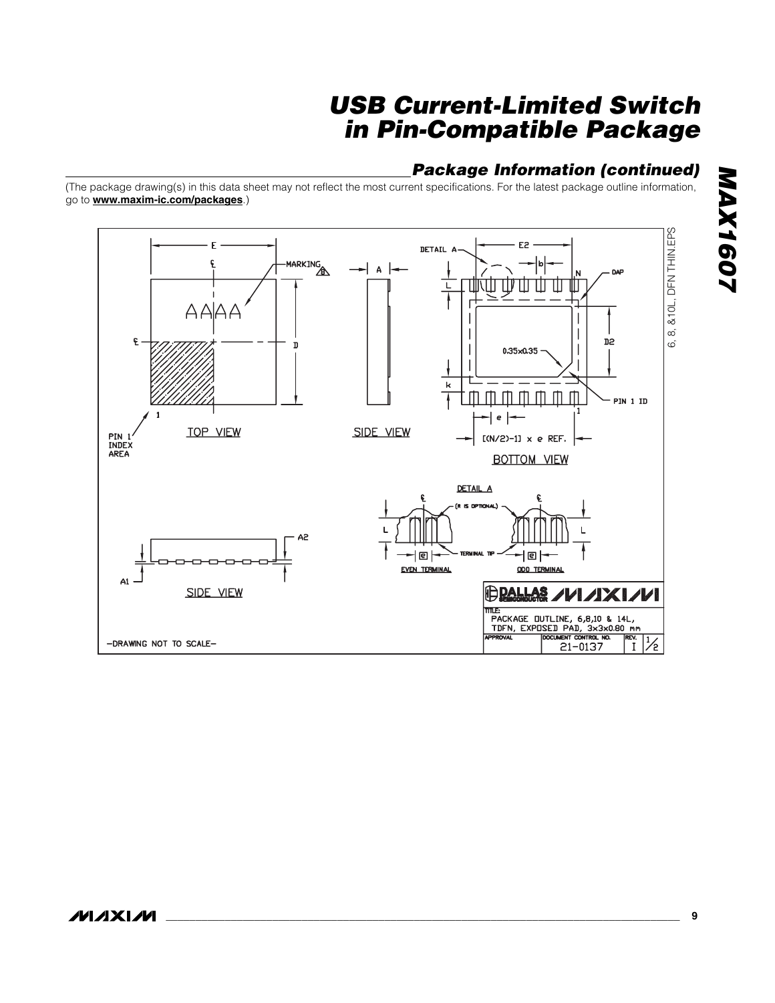### *Package Information (continued)*

(The package drawing(s) in this data sheet may not reflect the most current specifications. For the latest package outline information, go to **www.maxim-ic.com/packages**.)